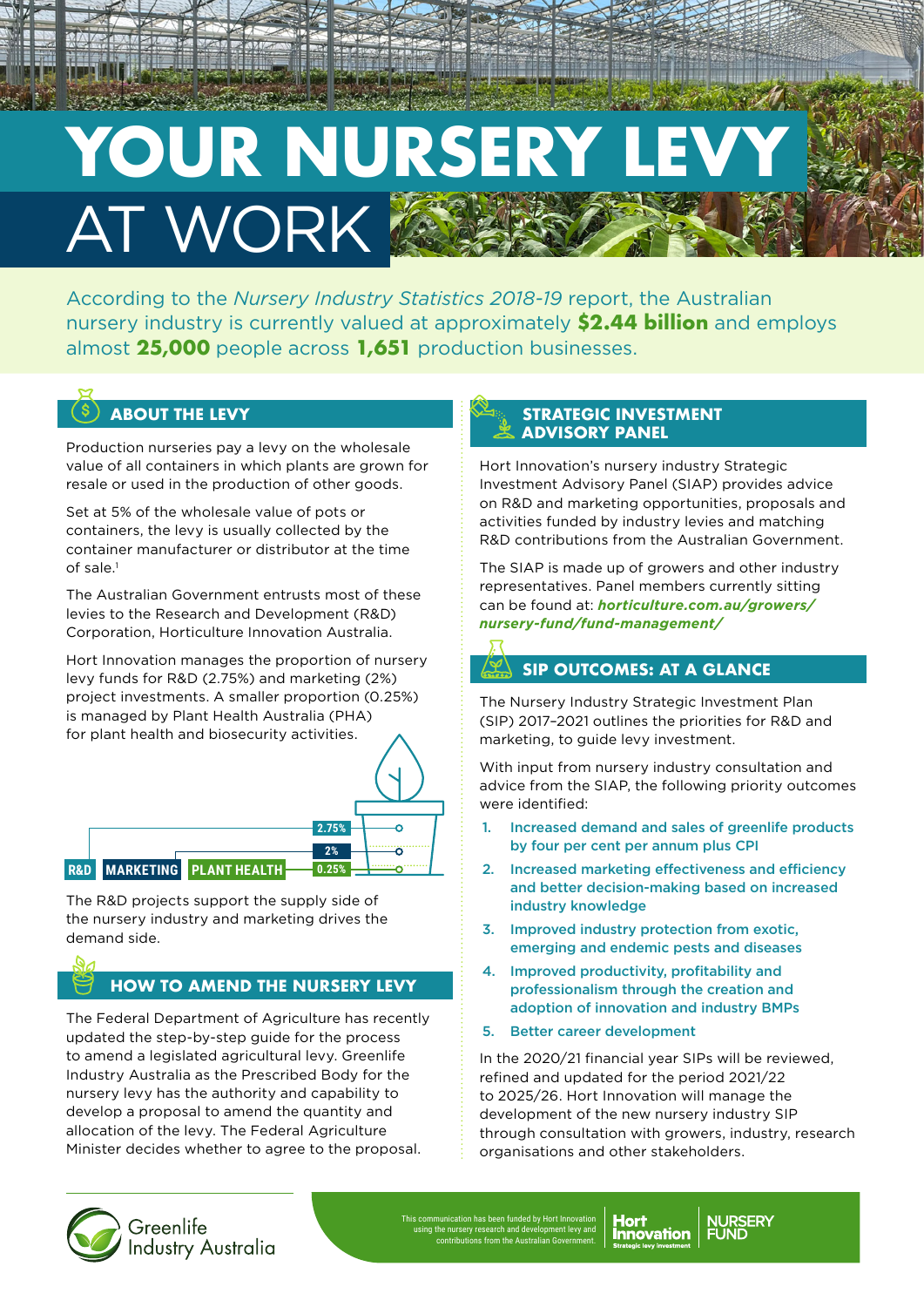# YOUR NURSER AT WORK

According to the *Nursery Industry Statistics 2018-19* report, the Australian nursery industry is currently valued at approximately **\$2.44 billion** and employs almost **25,000** people across **1,651** production businesses.

### $(\$\)$  about the Levy

Production nurseries pay a levy on the wholesale value of all containers in which plants are grown for resale or used in the production of other goods.

Set at 5% of the wholesale value of pots or containers, the levy is usually collected by the container manufacturer or distributor at the time of sale.1

The Australian Government entrusts most of these levies to the Research and Development (R&D) Corporation, Horticulture Innovation Australia.

Hort Innovation manages the proportion of nursery levy funds for R&D (2.75%) and marketing (2%) project investments. A smaller proportion (0.25%) is managed by Plant Health Australia (PHA) for plant health and biosecurity activities.



The R&D projects support the supply side of the nursery industry and marketing drives the demand side.

### **HOW TO AMEND THE NURSERY LEVY**

The Federal Department of Agriculture has recently updated the step-by-step guide for the process to amend a legislated agricultural levy. Greenlife Industry Australia as the Prescribed Body for the nursery levy has the authority and capability to develop a proposal to amend the quantity and allocation of the levy. The Federal Agriculture Minister decides whether to agree to the proposal.

#### **STRATEGIC INVESTMENT ADVISORY PANEL**

Hort Innovation's nursery industry Strategic Investment Advisory Panel (SIAP) provides advice on R&D and marketing opportunities, proposals and activities funded by industry levies and matching R&D contributions from the Australian Government.

The SIAP is made up of growers and other industry representatives. Panel members currently sitting can be found at: *[horticulture.com.au/growers/](http://horticulture.com.au/growers/nursery-fund/fund-management/) [nursery-fund/fund-management/](http://horticulture.com.au/growers/nursery-fund/fund-management/)*

### **SIP OUTCOMES: AT A GLANCE**

The Nursery Industry Strategic Investment Plan (SIP) 2017–2021 outlines the priorities for R&D and marketing, to guide levy investment.

With input from nursery industry consultation and advice from the SIAP, the following priority outcomes were identified:

- 1. Increased demand and sales of greenlife products by four per cent per annum plus CPI
- 2. Increased marketing effectiveness and efficiency and better decision-making based on increased industry knowledge
- 3. Improved industry protection from exotic, emerging and endemic pests and diseases
- 4. Improved productivity, profitability and professionalism through the creation and adoption of innovation and industry BMPs
- 5. Better career development

In the 2020/21 financial year SIPs will be reviewed, refined and updated for the period 2021/22 to 2025/26. Hort Innovation will manage the development of the new nursery industry SIP through consultation with growers, industry, research organisations and other stakeholders.



Greenlife **Industry Australia**  This communication has been funded by Hort Innovation using the nursery research and development levy and contributions from the Australian Government.

**NURSERY**<br>FUND nnovation